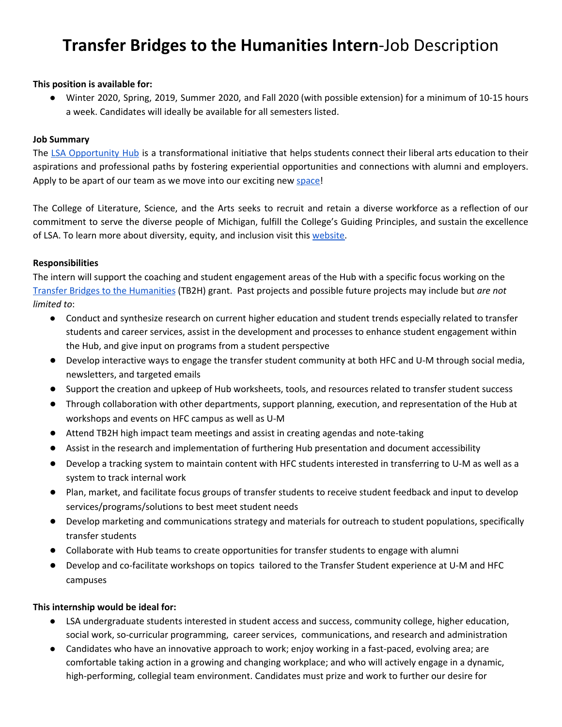# **Transfer Bridges to the Humanities Intern**-Job Description

#### **This position is available for:**

● Winter 2020, Spring, 2019, Summer 2020, and Fall 2020 (with possible extension) for a minimum of 10-15 hours a week. Candidates will ideally be available for all semesters listed.

#### **Job Summary**

The LSA [Opportunity](https://lsa.umich.edu/opportunityhub) Hub is a transformational initiative that helps students connect their liberal arts education to their aspirations and professional paths by fostering experiential opportunities and connections with alumni and employers. Apply to be apart of our team as we move into our exciting new [space!](https://lsa.umich.edu/opportunityhub/about-us/building-designs.html)

The College of Literature, Science, and the Arts seeks to recruit and retain a diverse workforce as a reflection of our commitment to serve the diverse people of Michigan, fulfill the College's Guiding Principles, and sustain the excellence of LSA. To learn more about diversity, equity, and inclusion visit this [website.](http://lsa.umich.edu/lsa/about/diversity--equity-and-inclusion.html)

#### **Responsibilities**

The intern will support the coaching and student engagement areas of the Hub with a specific focus working on the Transfer Bridges to the [Humanities](https://lsa.umich.edu/lsa/news-events/all-news/search-news/new-partnership-creates-greater-access-for-transfer-students.html) (TB2H) grant. Past projects and possible future projects may include but *are not limited to*:

- Conduct and synthesize research on current higher education and student trends especially related to transfer students and career services, assist in the development and processes to enhance student engagement within the Hub, and give input on programs from a student perspective
- Develop interactive ways to engage the transfer student community at both HFC and U-M through social media, newsletters, and targeted emails
- Support the creation and upkeep of Hub worksheets, tools, and resources related to transfer student success
- Through collaboration with other departments, support planning, execution, and representation of the Hub at workshops and events on HFC campus as well as U-M
- Attend TB2H high impact team meetings and assist in creating agendas and note-taking
- Assist in the research and implementation of furthering Hub presentation and document accessibility
- Develop a tracking system to maintain content with HFC students interested in transferring to U-M as well as a system to track internal work
- Plan, market, and facilitate focus groups of transfer students to receive student feedback and input to develop services/programs/solutions to best meet student needs
- Develop marketing and communications strategy and materials for outreach to student populations, specifically transfer students
- Collaborate with Hub teams to create opportunities for transfer students to engage with alumni
- Develop and co-facilitate workshops on topics tailored to the Transfer Student experience at U-M and HFC campuses

#### **This internship would be ideal for:**

- LSA undergraduate students interested in student access and success, community college, higher education, social work, so-curricular programming, career services, communications, and research and administration
- Candidates who have an innovative approach to work; enjoy working in a fast-paced, evolving area; are comfortable taking action in a growing and changing workplace; and who will actively engage in a dynamic, high-performing, collegial team environment. Candidates must prize and work to further our desire for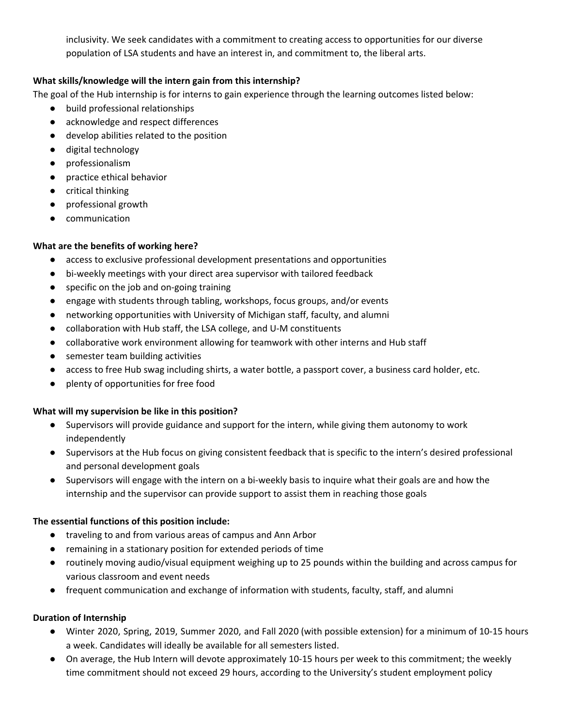inclusivity. We seek candidates with a commitment to creating access to opportunities for our diverse population of LSA students and have an interest in, and commitment to, the liberal arts.

# **What skills/knowledge will the intern gain from this internship?**

The goal of the Hub internship is for interns to gain experience through the learning outcomes listed below:

- build professional relationships
- acknowledge and respect differences
- develop abilities related to the position
- digital technology
- professionalism
- practice ethical behavior
- critical thinking
- professional growth
- communication

## **What are the benefits of working here?**

- access to exclusive professional development presentations and opportunities
- bi-weekly meetings with your direct area supervisor with tailored feedback
- specific on the job and on-going training
- engage with students through tabling, workshops, focus groups, and/or events
- networking opportunities with University of Michigan staff, faculty, and alumni
- collaboration with Hub staff, the LSA college, and U-M constituents
- collaborative work environment allowing for teamwork with other interns and Hub staff
- semester team building activities
- access to free Hub swag including shirts, a water bottle, a passport cover, a business card holder, etc.
- plenty of opportunities for free food

#### **What will my supervision be like in this position?**

- Supervisors will provide guidance and support for the intern, while giving them autonomy to work independently
- Supervisors at the Hub focus on giving consistent feedback that is specific to the intern's desired professional and personal development goals
- Supervisors will engage with the intern on a bi-weekly basis to inquire what their goals are and how the internship and the supervisor can provide support to assist them in reaching those goals

## **The essential functions of this position include:**

- traveling to and from various areas of campus and Ann Arbor
- remaining in a stationary position for extended periods of time
- routinely moving audio/visual equipment weighing up to 25 pounds within the building and across campus for various classroom and event needs
- frequent communication and exchange of information with students, faculty, staff, and alumni

## **Duration of Internship**

- Winter 2020, Spring, 2019, Summer 2020, and Fall 2020 (with possible extension) for a minimum of 10-15 hours a week. Candidates will ideally be available for all semesters listed.
- On average, the Hub Intern will devote approximately 10-15 hours per week to this commitment; the weekly time commitment should not exceed 29 hours, according to the University's student employment policy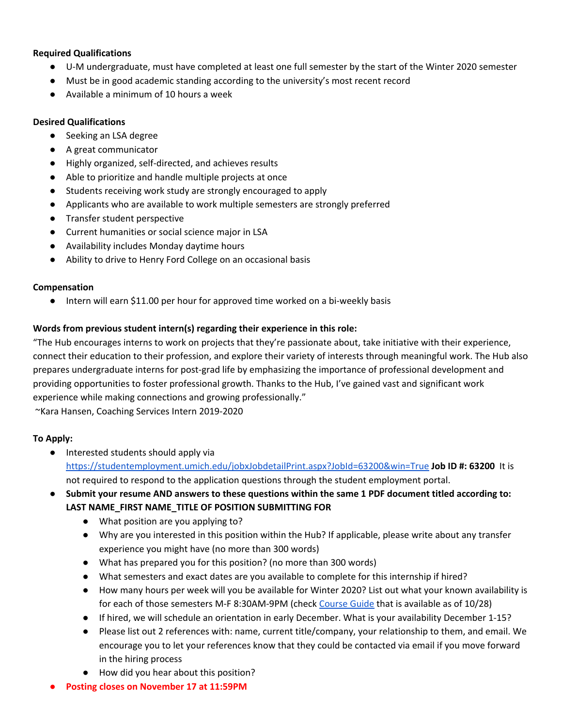### **Required Qualifications**

- U-M undergraduate, must have completed at least one full semester by the start of the Winter 2020 semester
- Must be in good academic standing according to the university's most recent record
- Available a minimum of 10 hours a week

### **Desired Qualifications**

- Seeking an LSA degree
- A great communicator
- Highly organized, self-directed, and achieves results
- Able to prioritize and handle multiple projects at once
- Students receiving work study are strongly encouraged to apply
- Applicants who are available to work multiple semesters are strongly preferred
- Transfer student perspective
- Current humanities or social science major in LSA
- Availability includes Monday daytime hours
- Ability to drive to Henry Ford College on an occasional basis

#### **Compensation**

● Intern will earn \$11.00 per hour for approved time worked on a bi-weekly basis

## **Words from previous student intern(s) regarding their experience in this role:**

"The Hub encourages interns to work on projects that they're passionate about, take initiative with their experience, connect their education to their profession, and explore their variety of interests through meaningful work. The Hub also prepares undergraduate interns for post-grad life by emphasizing the importance of professional development and providing opportunities to foster professional growth. Thanks to the Hub, I've gained vast and significant work experience while making connections and growing professionally."

~Kara Hansen, Coaching Services Intern 2019-2020

## **To Apply:**

- Interested students should apply via <https://studentemployment.umich.edu/jobxJobdetailPrint.aspx?JobId=63200&win=True> **Job ID #: 63200** It is not required to respond to the application questions through the student employment portal.
- **Submit your resume AND answers to these questions within the same 1 PDF document titled according to: LAST NAME\_FIRST NAME\_TITLE OF POSITION SUBMITTING FOR**
	- What position are you applying to?
	- Why are you interested in this position within the Hub? If applicable, please write about any transfer experience you might have (no more than 300 words)
	- What has prepared you for this position? (no more than 300 words)
	- What semesters and exact dates are you available to complete for this internship if hired?
	- How many hours per week will you be available for Winter 2020? List out what your known availability is for each of those semesters M-F 8:30AM-9PM (check [Course](https://www.lsa.umich.edu/cg/default.aspx) Guide that is available as of 10/28)
	- If hired, we will schedule an orientation in early December. What is your availability December 1-15?
	- Please list out 2 references with: name, current title/company, your relationship to them, and email. We encourage you to let your references know that they could be contacted via email if you move forward in the hiring process
	- How did you hear about this position?
- **● Posting closes on November 17 at 11:59PM**